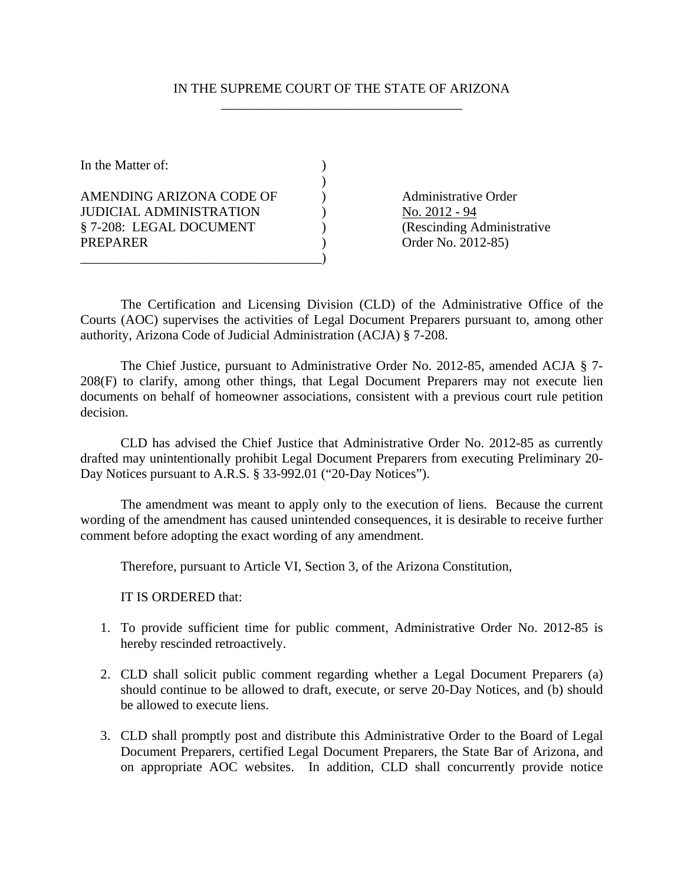## IN THE SUPREME COURT OF THE STATE OF ARIZONA \_\_\_\_\_\_\_\_\_\_\_\_\_\_\_\_\_\_\_\_\_\_\_\_\_\_\_\_\_\_\_\_\_\_\_\_

| In the Matter of:                                                                     |  |
|---------------------------------------------------------------------------------------|--|
| AMENDING ARIZONA CODE OF<br><b>JUDICIAL ADMINISTRATION</b><br>§ 7-208: LEGAL DOCUMENT |  |
| <b>PREPARER</b>                                                                       |  |

Administrative Order No. 2012 - 94 (Rescinding Administrative) Order No. 2012-85)

The Certification and Licensing Division (CLD) of the Administrative Office of the Courts (AOC) supervises the activities of Legal Document Preparers pursuant to, among other authority, Arizona Code of Judicial Administration (ACJA) § 7-208.

The Chief Justice, pursuant to Administrative Order No. 2012-85, amended ACJA § 7- 208(F) to clarify, among other things, that Legal Document Preparers may not execute lien documents on behalf of homeowner associations, consistent with a previous court rule petition decision.

CLD has advised the Chief Justice that Administrative Order No. 2012-85 as currently drafted may unintentionally prohibit Legal Document Preparers from executing Preliminary 20- Day Notices pursuant to A.R.S. § 33-992.01 ("20-Day Notices").

The amendment was meant to apply only to the execution of liens. Because the current wording of the amendment has caused unintended consequences, it is desirable to receive further comment before adopting the exact wording of any amendment.

Therefore, pursuant to Article VI, Section 3, of the Arizona Constitution,

IT IS ORDERED that:

- 1. To provide sufficient time for public comment, Administrative Order No. 2012-85 is hereby rescinded retroactively.
- 2. CLD shall solicit public comment regarding whether a Legal Document Preparers (a) should continue to be allowed to draft, execute, or serve 20-Day Notices, and (b) should be allowed to execute liens.
- 3. CLD shall promptly post and distribute this Administrative Order to the Board of Legal Document Preparers, certified Legal Document Preparers, the State Bar of Arizona, and on appropriate AOC websites. In addition, CLD shall concurrently provide notice